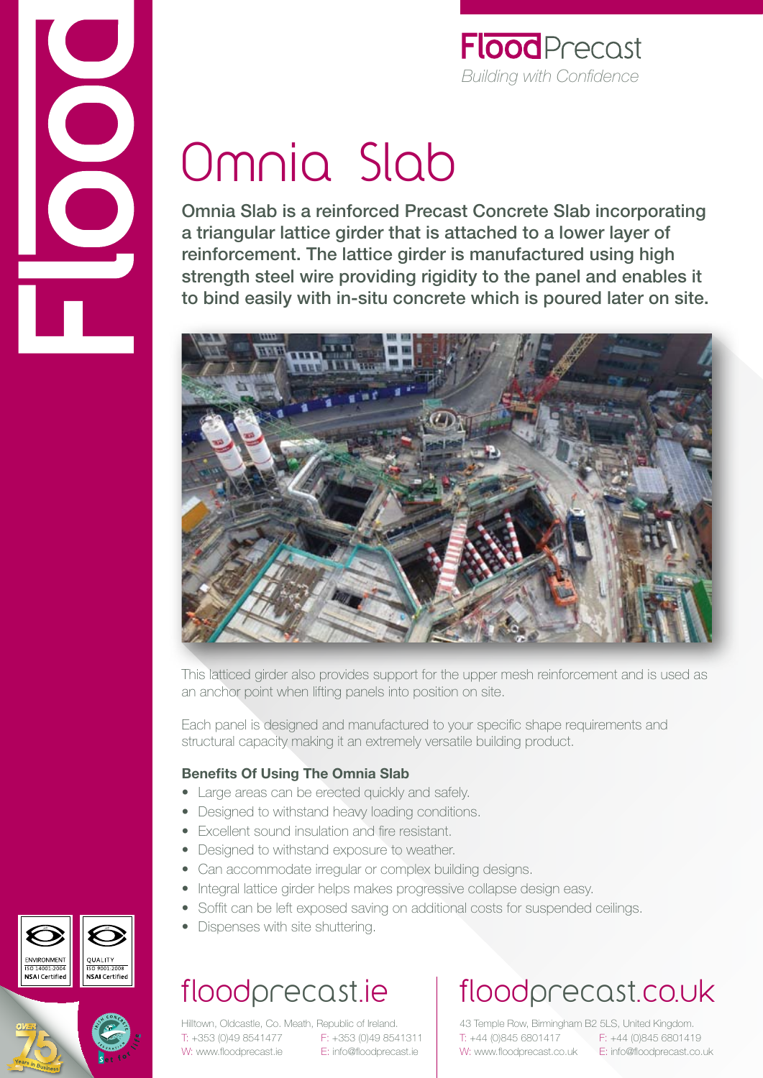

# Omnia Slab

Omnia Slab is a reinforced Precast Concrete Slab incorporating a triangular lattice girder that is attached to a lower layer of reinforcement. The lattice girder is manufactured using high strength steel wire providing rigidity to the panel and enables it to bind easily with in-situ concrete which is poured later on site.



This latticed girder also provides support for the upper mesh reinforcement and is used as an anchor point when lifting panels into position on site.

Each panel is designed and manufactured to your specific shape requirements and structural capacity making it an extremely versatile building product.

### **Benefits Of Using The Omnia Slab**

- Large areas can be erected quickly and safely.
- Designed to withstand heavy loading conditions.
- Excellent sound insulation and fire resistant.
- Designed to withstand exposure to weather.
- Can accommodate irregular or complex building designs.
- Integral lattice girder helps makes progressive collapse design easy.
- Soffit can be left exposed saving on additional costs for suspended ceilings.
- Dispenses with site shuttering.

## floodprecast.ie

Hilltown, Oldcastle, Co. Meath, Republic of Ireland. T: +353 (0)49 8541477 F: +353 (0)49 8541311 W: www.floodprecast.ie E: info@floodprecast.ie

# floodprecast.co.uk

43 Temple Row, Birmingham B2 5LS, United Kingdom. T: +44 (0)845 6801417 F: +44 (0)845 6801419 W: www.floodprecast.co.uk E: info@floodprecast.co.uk